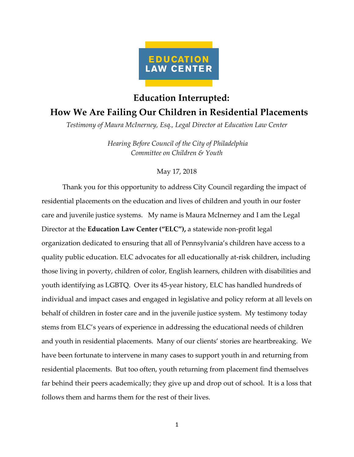

## **Education Interrupted: How We Are Failing Our Children in Residential Placements**

*Testimony of Maura McInerney, Esq., Legal Director at Education Law Center*

*Hearing Before Council of the City of Philadelphia Committee on Children & Youth* 

## May 17, 2018

Thank you for this opportunity to address City Council regarding the impact of residential placements on the education and lives of children and youth in our foster care and juvenile justice systems. My name is Maura McInerney and I am the Legal Director at the **Education Law Center ("ELC"),** a statewide non-profit legal organization dedicated to ensuring that all of Pennsylvania's children have access to a quality public education. ELC advocates for all educationally at-risk children, including those living in poverty, children of color, English learners, children with disabilities and youth identifying as LGBTQ. Over its 45-year history, ELC has handled hundreds of individual and impact cases and engaged in legislative and policy reform at all levels on behalf of children in foster care and in the juvenile justice system. My testimony today stems from ELC's years of experience in addressing the educational needs of children and youth in residential placements. Many of our clients' stories are heartbreaking. We have been fortunate to intervene in many cases to support youth in and returning from residential placements. But too often, youth returning from placement find themselves far behind their peers academically; they give up and drop out of school. It is a loss that follows them and harms them for the rest of their lives.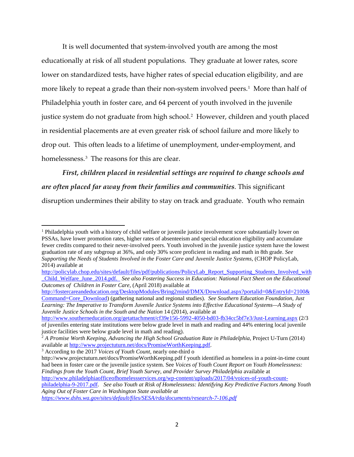It is well documented that system-involved youth are among the most educationally at risk of all student populations. They graduate at lower rates, score lower on standardized tests, have higher rates of special education eligibility, and are more likely to repeat a grade than their non-system involved peers.<sup>[1](#page-1-0)</sup> More than half of Philadelphia youth in foster care, and 64 percent of youth involved in the juvenile justice system do not graduate from high school. [2](#page-1-1) However, children and youth placed in residential placements are at even greater risk of school failure and more likely to drop out. This often leads to a lifetime of unemployment, under-employment, and homelessness.<sup>[3](#page-1-2)</sup> The reasons for this are clear.

*First, children placed in residential settings are required to change schools and are often placed far away from their families and communities*. This significant disruption undermines their ability to stay on track and graduate. Youth who remain

l

<span id="page-1-2"></span>http://www.projectuturn.net/docs/PromiseWorthKeeping.pdf f youth identified as homeless in a point-in-time count had been in foster care or the juvenile justice system. See *Voices of Youth Count Report on Youth Homelessness: Findings from the Youth Count, Brief Youth Survey, and Provider Survey Philadelphia* available at [http://www.philadelphiaofficeofhomelessservices.org/wp-content/uploads/2017/04/voices-of-youth-count](http://www.philadelphiaofficeofhomelessservices.org/wp-content/uploads/2017/04/voices-of-youth-count-philadelphia-9-2017.pdf)[philadelphia-9-2017.pdf.](http://www.philadelphiaofficeofhomelessservices.org/wp-content/uploads/2017/04/voices-of-youth-count-philadelphia-9-2017.pdf) *See also Youth at Risk of Homelessness: Identifying Key Predictive Factors Among Youth Aging Out of Foster Care in Washington State available at* 

*<https://www.dshs.wa.gov/sites/default/files/SESA/rda/documents/research-7-106.pdf>*

<span id="page-1-0"></span><sup>&</sup>lt;sup>1</sup> Philadelphia youth with a history of child welfare or juvenile justice involvement score substantially lower on PSSAs, have lower promotion rates, higher rates of absenteeism and special education eligibility and accumulate fewer credits compared to their never-involved peers. Youth involved in the juvenile justice system have the lowest graduation rate of any subgroup at 36%, and only 30% score proficient in reading and math in 8th grade. *See Supporting the Needs of Students Involved in the Foster Care and Juvenile Justice Systems,* (CHOP PolicyLab, 2014) available at

[http://policylab.chop.edu/sites/default/files/pdf/publications/PolicyLab\\_Report\\_Supporting\\_Students\\_Involved\\_with](http://policylab.chop.edu/sites/default/files/pdf/publications/PolicyLab_Report_Supporting_Students_Involved_with_Child_Welfare_June_2014.pdf) [\\_Child\\_Welfare\\_June\\_2014.pdf.](http://policylab.chop.edu/sites/default/files/pdf/publications/PolicyLab_Report_Supporting_Students_Involved_with_Child_Welfare_June_2014.pdf) *See also Fostering Success in Education: National Fact Sheet on the Educational Outcomes of Children in Foster Care,* (April 2018) available at

[http://fostercareandeducation.org/DesktopModules/Bring2mind/DMX/Download.aspx?portalid=0&EntryId=2100&](http://fostercareandeducation.org/DesktopModules/Bring2mind/DMX/Download.aspx?portalid=0&EntryId=2100&Command=Core_Download) [Command=Core\\_Download\)](http://fostercareandeducation.org/DesktopModules/Bring2mind/DMX/Download.aspx?portalid=0&EntryId=2100&Command=Core_Download) (gathering national and regional studies). *See Southern Education Foundation, Just*  Learning: The Imperative to Transform Juvenile Justice Systems into Effective Educational Systems—A Study of *Juvenile Justice Schools in the South and the Nation* 14 (2014), available at

<http://www.southerneducation.org/getattachment/cf39e156-5992-4050-bd03-fb34cc5bf7e3/Just-Learning.aspx> (2/3 of juveniles entering state institutions were below grade level in math and reading and 44% entering local juvenile justice facilities were below grade level in math and reading).

<span id="page-1-1"></span><sup>2</sup> *A Promise Worth Keeping*, *Advancing the High School Graduation Rate in Philadelphia*, Project U-Turn (2014) available at [http://www.projectuturn.net/docs/PromiseWorthKeeping.pdf.](http://www.projectuturn.net/docs/PromiseWorthKeeping.pdf) 3 According to the 2017 *Voices of Youth Count,* nearly one-third o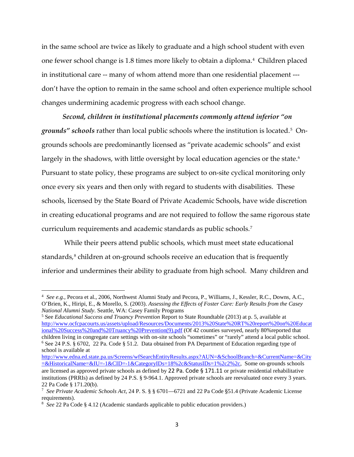in the same school are twice as likely to graduate and a high school student with even one fewer school change is 1.8 times more likely to obtain a diploma.[4](#page-2-0) Children placed in institutional care -- many of whom attend more than one residential placement -- don't have the option to remain in the same school and often experience multiple school changes undermining academic progress with each school change.

*Second, children in institutional placements commonly attend inferior "on grounds" schools* rather than local public schools where the institution is located.[5](#page-2-1) Ongrounds schools are predominantly licensed as "private academic schools" and exist largely in the shadows, with little oversight by local education agencies or the state.<sup>[6](#page-2-2)</sup> Pursuant to state policy, these programs are subject to on-site cyclical monitoring only once every six years and then only with regard to students with disabilities. These schools, licensed by the State Board of Private Academic Schools, have wide discretion in creating educational programs and are not required to follow the same rigorous state curriculum requirements and academic standards as public schools.[7](#page-2-3)

While their peers attend public schools, which must meet state educational standards,<sup>[8](#page-2-4)</sup> children at on-ground schools receive an education that is frequently inferior and undermines their ability to graduate from high school. Many children and

<span id="page-2-1"></span><sup>5</sup> See *Educational Success and Truancy Prevention* Report to State Roundtable (2013) at p. 5, available at [http://www.ocfcpacourts.us/assets/upload/Resources/Documents/2013%20State%20RT%20report%20on%20Educat](http://www.ocfcpacourts.us/assets/upload/Resources/Documents/2013%20State%20RT%20report%20on%20Educational%20Success%20and%20Truancy%20Prevention(9).pdf) [ional%20Success%20and%20Truancy%20Prevention\(9\).pdf](http://www.ocfcpacourts.us/assets/upload/Resources/Documents/2013%20State%20RT%20report%20on%20Educational%20Success%20and%20Truancy%20Prevention(9).pdf) (Of 42 counties surveyed, nearly 80%reported that children living in congregate care settings with on-site schools "sometimes" or "rarely" attend a local public school. <sup>6</sup> See 24 P.S. § 6702, 22 Pa. Code § 51.2. Data obtained from PA Department of Education regarding type of school is available at

<span id="page-2-2"></span>[http://www.edna.ed.state.pa.us/Screens/wfSearchEntityResults.aspx?AUN=&SchoolBranch=&CurrentName=&City](http://www.edna.ed.state.pa.us/Screens/wfSearchEntityResults.aspx?AUN=&SchoolBranch=&CurrentName=&City=&HistoricalName=&IU=-1&CID=-1&CategoryIDs=18%2c&StatusIDs=1%2c2%2c)  $=\&HistoricalName=\&IU=-1\&CID=-1\&CategoryIDs=18\&2c&StatusIDs=1\&2c2\&2c$ , Some on-grounds schools are licensed as approved private schools as defined by 22 Pa. Code  $\S 171.11$  or private residential rehabilitative institutions (PRRIs) as defined by 24 P.S. § 9-964.1. Approved private schools are reevaluated once every 3 years. 22 Pa Code § 171.20(b).

 $\overline{a}$ 

<span id="page-2-0"></span><sup>4</sup> *See e.g.,* Pecora et al., 2006, Northwest Alumni Study and Pecora, P., Williams, J., Kessler, R.C., Downs, A.C., O'Brien, K., Hiripi, E., & Morello, S. (2003). *Assessing the Effects of Foster Care: Early Results from the Casey National Alumni Study*. Seattle, WA: Casey Family Programs

<span id="page-2-3"></span><sup>7</sup> *See Private Academic Schools Act*, 24 P. S. § § 6701—6721 and 22 Pa Code §51.4 (Private Academic License requirements).

<span id="page-2-4"></span>*See* 22 Pa Code § 4.12 (Academic standards applicable to public education providers.)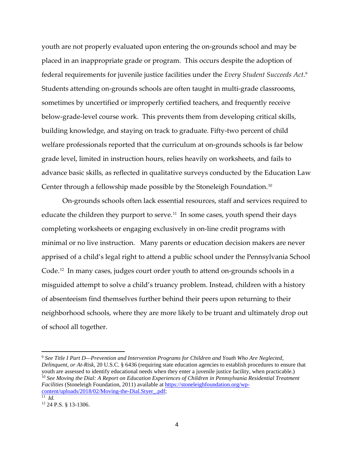youth are not properly evaluated upon entering the on-grounds school and may be placed in an inappropriate grade or program. This occurs despite the adoption of federal requirements for juvenile justice facilities under the *Every Student Succeeds Act*. [9](#page-3-0) Students attending on-grounds schools are often taught in multi-grade classrooms, sometimes by uncertified or improperly certified teachers, and frequently receive below-grade-level course work. This prevents them from developing critical skills, building knowledge, and staying on track to graduate. Fifty-two percent of child welfare professionals reported that the curriculum at on-grounds schools is far below grade level, limited in instruction hours, relies heavily on worksheets, and fails to advance basic skills, as reflected in qualitative surveys conducted by the Education Law Center through a fellowship made possible by the Stoneleigh Foundation.[10](#page-3-1) 

On-grounds schools often lack essential resources, staff and services required to educate the children they purport to serve. [11](#page-3-2) In some cases, youth spend their days completing worksheets or engaging exclusively in on-line credit programs with minimal or no live instruction. Many parents or education decision makers are never apprised of a child's legal right to attend a public school under the Pennsylvania School Code. [12](#page-3-3) In many cases, judges court order youth to attend on-grounds schools in a misguided attempt to solve a child's truancy problem. Instead, children with a history of absenteeism find themselves further behind their peers upon returning to their neighborhood schools, where they are more likely to be truant and ultimately drop out of school all together.

<span id="page-3-1"></span><span id="page-3-0"></span> $\overline{a}$ <sup>9</sup> *See Title I Part D—Prevention and Intervention Programs for Children and Youth Who Are Neglected, Delinquent, or At-Risk*, 20 U.S.C. § 6436 (requiring state education agencies to establish procedures to ensure that youth are assessed to identify educational needs when they enter a juvenile justice facility, when practicable.) <sup>10</sup> See Moving the Dial: A Report on Education Experiences of Children in Pennsylvania Residential Treatment *Facilities* (Stoneleigh Foundation, 2011) available a[t https://stoneleighfoundation.org/wp](https://stoneleighfoundation.org/wp-content/uploads/2018/02/Moving-the-Dial.Styer_.pdf)[content/uploads/2018/02/Moving-the-Dial.Styer\\_.pdf;](https://stoneleighfoundation.org/wp-content/uploads/2018/02/Moving-the-Dial.Styer_.pdf) 11 *Id.*

<span id="page-3-3"></span><span id="page-3-2"></span><sup>12</sup> 24 P.S. § 13-1306.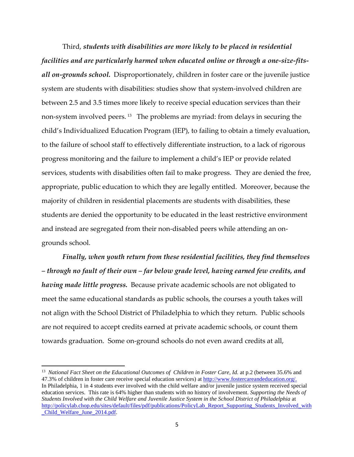Third, *students with disabilities are more likely to be placed in residential facilities and are particularly harmed when educated online or through a one-size-fitsall on-grounds school.* Disproportionately, children in foster care or the juvenile justice system are students with disabilities: studies show that system-involved children are between 2.5 and 3.5 times more likely to receive special education services than their non-system involved peers. [13](#page-4-0) The problems are myriad: from delays in securing the child's Individualized Education Program (IEP), to failing to obtain a timely evaluation, to the failure of school staff to effectively differentiate instruction, to a lack of rigorous progress monitoring and the failure to implement a child's IEP or provide related services, students with disabilities often fail to make progress. They are denied the free, appropriate, public education to which they are legally entitled. Moreover, because the majority of children in residential placements are students with disabilities, these students are denied the opportunity to be educated in the least restrictive environment and instead are segregated from their non-disabled peers while attending an ongrounds school.

*Finally, when youth return from these residential facilities, they find themselves – through no fault of their own – far below grade level, having earned few credits, and having made little progress.* Because private academic schools are not obligated to meet the same educational standards as public schools, the courses a youth takes will not align with the School District of Philadelphia to which they return. Public schools are not required to accept credits earned at private academic schools, or count them towards graduation. Some on-ground schools do not even award credits at all,

l

<span id="page-4-0"></span><sup>&</sup>lt;sup>13</sup> National Fact Sheet on the Educational Outcomes of Children in Foster Care, Id. at p.2 (between 35.6% and 47.3% of children in foster care receive special education services) at [http://www.fostercareandeducation.org/.](http://www.fostercareandeducation.org/) In Philadelphia, 1 in 4 students ever involved with the child welfare and/or juvenile justice system received special education services. This rate is 64% higher than students with no history of involvement. *Supporting the Needs of Students Involved with the Child Welfare and Juvenile Justice System in the School District of Philadelphia* at [http://policylab.chop.edu/sites/default/files/pdf/publications/PolicyLab\\_Report\\_Supporting\\_Students\\_Involved\\_with](http://policylab.chop.edu/sites/default/files/pdf/publications/PolicyLab_Report_Supporting_Students_Involved_with_Child_Welfare_June_2014.pdf) [\\_Child\\_Welfare\\_June\\_2014.pdf.](http://policylab.chop.edu/sites/default/files/pdf/publications/PolicyLab_Report_Supporting_Students_Involved_with_Child_Welfare_June_2014.pdf)